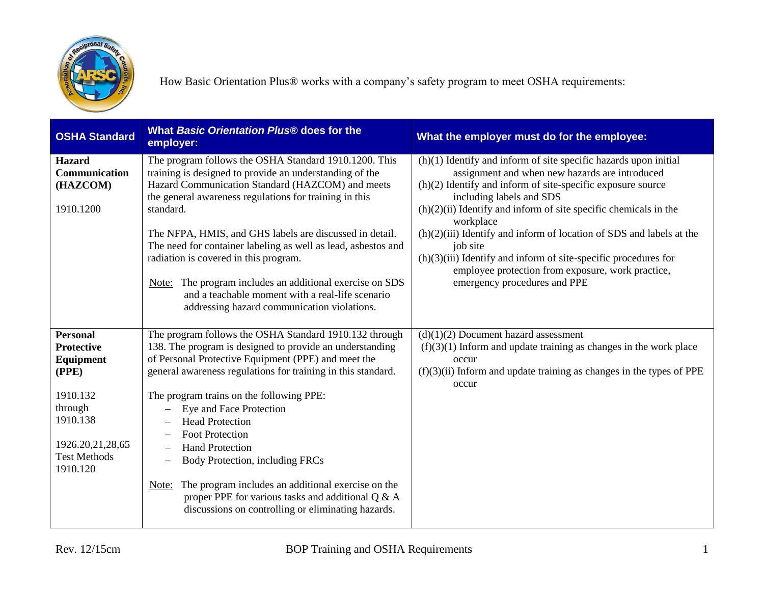

| <b>OSHA Standard</b>                                                                                                                                 | What Basic Orientation Plus® does for the<br>employer:                                                                                                                                                                                                                                                                                                                                                                                                                                                                                                                                                                                                       | What the employer must do for the employee:                                                                                                                                                                                                                                                                                                                                                                                                                                                                                                          |
|------------------------------------------------------------------------------------------------------------------------------------------------------|--------------------------------------------------------------------------------------------------------------------------------------------------------------------------------------------------------------------------------------------------------------------------------------------------------------------------------------------------------------------------------------------------------------------------------------------------------------------------------------------------------------------------------------------------------------------------------------------------------------------------------------------------------------|------------------------------------------------------------------------------------------------------------------------------------------------------------------------------------------------------------------------------------------------------------------------------------------------------------------------------------------------------------------------------------------------------------------------------------------------------------------------------------------------------------------------------------------------------|
| <b>Hazard</b><br><b>Communication</b><br>(HAZCOM)<br>1910.1200                                                                                       | The program follows the OSHA Standard 1910.1200. This<br>training is designed to provide an understanding of the<br>Hazard Communication Standard (HAZCOM) and meets<br>the general awareness regulations for training in this<br>standard.<br>The NFPA, HMIS, and GHS labels are discussed in detail.<br>The need for container labeling as well as lead, asbestos and<br>radiation is covered in this program.<br>Note: The program includes an additional exercise on SDS<br>and a teachable moment with a real-life scenario<br>addressing hazard communication violations.                                                                              | $(h)(1)$ Identify and inform of site specific hazards upon initial<br>assignment and when new hazards are introduced<br>$(h)(2)$ Identify and inform of site-specific exposure source<br>including labels and SDS<br>$(h)(2)(ii)$ Identify and inform of site specific chemicals in the<br>workplace<br>$(h)(2)(iii)$ Identify and inform of location of SDS and labels at the<br>job site<br>$(h)(3)(iii)$ Identify and inform of site-specific procedures for<br>employee protection from exposure, work practice,<br>emergency procedures and PPE |
| <b>Personal</b><br><b>Protective</b><br>Equipment<br>(PPE)<br>1910.132<br>through<br>1910.138<br>1926.20,21,28,65<br><b>Test Methods</b><br>1910.120 | The program follows the OSHA Standard 1910.132 through<br>138. The program is designed to provide an understanding<br>of Personal Protective Equipment (PPE) and meet the<br>general awareness regulations for training in this standard.<br>The program trains on the following PPE:<br>Eye and Face Protection<br><b>Head Protection</b><br>$\overline{\phantom{0}}$<br><b>Foot Protection</b><br><b>Hand Protection</b><br>Body Protection, including FRCs<br>$\qquad \qquad -$<br>The program includes an additional exercise on the<br>Note:<br>proper PPE for various tasks and additional Q & A<br>discussions on controlling or eliminating hazards. | $(d)(1)(2)$ Document hazard assessment<br>$(f)(3)(1)$ Inform and update training as changes in the work place<br>occur<br>$(f)(3)(ii)$ Inform and update training as changes in the types of PPE<br>occur                                                                                                                                                                                                                                                                                                                                            |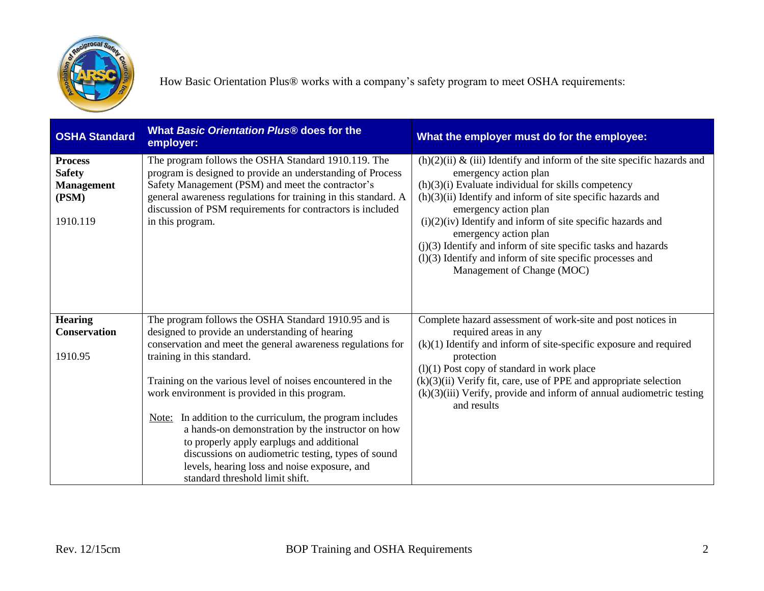

| <b>OSHA Standard</b>                                                      | What Basic Orientation Plus <sup>®</sup> does for the<br>employer:                                                                                                                                                                                                                                                                                                                                                                                                                                                                                                                                                             | What the employer must do for the employee:                                                                                                                                                                                                                                                                                                                                                                                                                                                                     |
|---------------------------------------------------------------------------|--------------------------------------------------------------------------------------------------------------------------------------------------------------------------------------------------------------------------------------------------------------------------------------------------------------------------------------------------------------------------------------------------------------------------------------------------------------------------------------------------------------------------------------------------------------------------------------------------------------------------------|-----------------------------------------------------------------------------------------------------------------------------------------------------------------------------------------------------------------------------------------------------------------------------------------------------------------------------------------------------------------------------------------------------------------------------------------------------------------------------------------------------------------|
| <b>Process</b><br><b>Safety</b><br><b>Management</b><br>(PSM)<br>1910.119 | The program follows the OSHA Standard 1910.119. The<br>program is designed to provide an understanding of Process<br>Safety Management (PSM) and meet the contractor's<br>general awareness regulations for training in this standard. A<br>discussion of PSM requirements for contractors is included<br>in this program.                                                                                                                                                                                                                                                                                                     | $(h)(2)(ii)$ & (iii) Identify and inform of the site specific hazards and<br>emergency action plan<br>$(h)(3)(i)$ Evaluate individual for skills competency<br>$(h)(3)(ii)$ Identify and inform of site specific hazards and<br>emergency action plan<br>$(i)(2)(iv)$ Identify and inform of site specific hazards and<br>emergency action plan<br>$(j)(3)$ Identify and inform of site specific tasks and hazards<br>$(1)(3)$ Identify and inform of site specific processes and<br>Management of Change (MOC) |
| <b>Hearing</b><br><b>Conservation</b><br>1910.95                          | The program follows the OSHA Standard 1910.95 and is<br>designed to provide an understanding of hearing<br>conservation and meet the general awareness regulations for<br>training in this standard.<br>Training on the various level of noises encountered in the<br>work environment is provided in this program.<br>In addition to the curriculum, the program includes<br>Note:<br>a hands-on demonstration by the instructor on how<br>to properly apply earplugs and additional<br>discussions on audiometric testing, types of sound<br>levels, hearing loss and noise exposure, and<br>standard threshold limit shift. | Complete hazard assessment of work-site and post notices in<br>required areas in any<br>$(k)(1)$ Identify and inform of site-specific exposure and required<br>protection<br>$(l)(1)$ Post copy of standard in work place<br>$(k)(3)(ii)$ Verify fit, care, use of PPE and appropriate selection<br>(k)(3)(iii) Verify, provide and inform of annual audiometric testing<br>and results                                                                                                                         |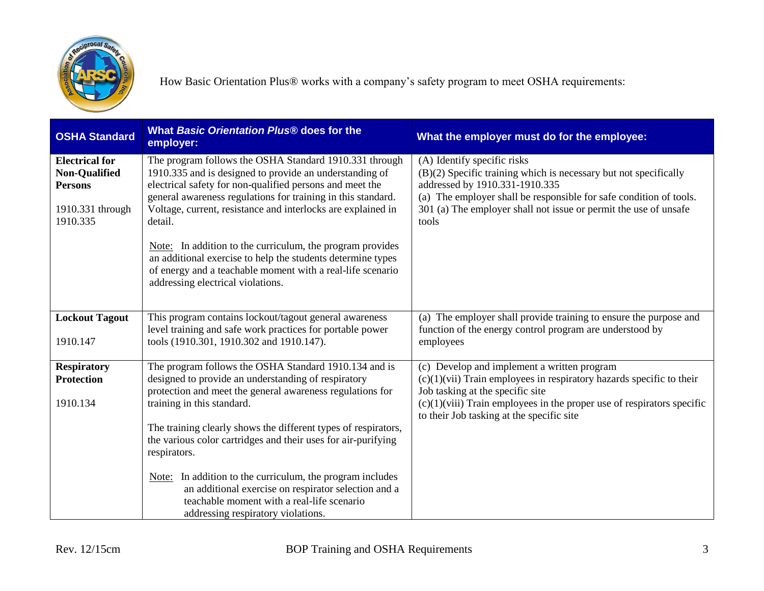

| <b>OSHA Standard</b>                                                                            | What Basic Orientation Plus® does for the<br>employer:                                                                                                                                                                                                                                                                                                     | What the employer must do for the employee:                                                                                                                                                                                                                                          |
|-------------------------------------------------------------------------------------------------|------------------------------------------------------------------------------------------------------------------------------------------------------------------------------------------------------------------------------------------------------------------------------------------------------------------------------------------------------------|--------------------------------------------------------------------------------------------------------------------------------------------------------------------------------------------------------------------------------------------------------------------------------------|
| <b>Electrical for</b><br><b>Non-Qualified</b><br><b>Persons</b><br>1910.331 through<br>1910.335 | The program follows the OSHA Standard 1910.331 through<br>1910.335 and is designed to provide an understanding of<br>electrical safety for non-qualified persons and meet the<br>general awareness regulations for training in this standard.<br>Voltage, current, resistance and interlocks are explained in<br>detail.                                   | (A) Identify specific risks<br>(B)(2) Specific training which is necessary but not specifically<br>addressed by 1910.331-1910.335<br>(a) The employer shall be responsible for safe condition of tools.<br>301 (a) The employer shall not issue or permit the use of unsafe<br>tools |
|                                                                                                 | Note: In addition to the curriculum, the program provides<br>an additional exercise to help the students determine types<br>of energy and a teachable moment with a real-life scenario<br>addressing electrical violations.                                                                                                                                |                                                                                                                                                                                                                                                                                      |
| <b>Lockout Tagout</b><br>1910.147                                                               | This program contains lockout/tagout general awareness<br>level training and safe work practices for portable power<br>tools (1910.301, 1910.302 and 1910.147).                                                                                                                                                                                            | (a) The employer shall provide training to ensure the purpose and<br>function of the energy control program are understood by<br>employees                                                                                                                                           |
| <b>Respiratory</b><br><b>Protection</b><br>1910.134                                             | The program follows the OSHA Standard 1910.134 and is<br>designed to provide an understanding of respiratory<br>protection and meet the general awareness regulations for<br>training in this standard.<br>The training clearly shows the different types of respirators,<br>the various color cartridges and their uses for air-purifying<br>respirators. | (c) Develop and implement a written program<br>$(c)(1)(vii)$ Train employees in respiratory hazards specific to their<br>Job tasking at the specific site<br>$(c)(1)(viii)$ Train employees in the proper use of respirators specific<br>to their Job tasking at the specific site   |
|                                                                                                 | In addition to the curriculum, the program includes<br>Note:<br>an additional exercise on respirator selection and a<br>teachable moment with a real-life scenario<br>addressing respiratory violations.                                                                                                                                                   |                                                                                                                                                                                                                                                                                      |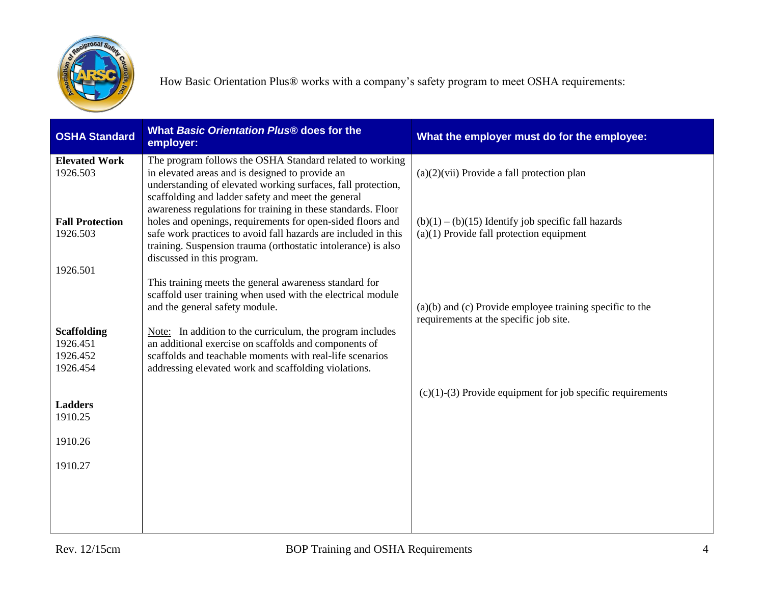

| <b>OSHA Standard</b>                                   | What Basic Orientation Plus® does for the<br>employer:                                                                                                                                                                                                                                                                                            | What the employer must do for the employee:                                                            |
|--------------------------------------------------------|---------------------------------------------------------------------------------------------------------------------------------------------------------------------------------------------------------------------------------------------------------------------------------------------------------------------------------------------------|--------------------------------------------------------------------------------------------------------|
| <b>Elevated Work</b><br>1926.503                       | The program follows the OSHA Standard related to working<br>in elevated areas and is designed to provide an<br>understanding of elevated working surfaces, fall protection,                                                                                                                                                                       | $(a)(2)(vii)$ Provide a fall protection plan                                                           |
| <b>Fall Protection</b><br>1926.503                     | scaffolding and ladder safety and meet the general<br>awareness regulations for training in these standards. Floor<br>holes and openings, requirements for open-sided floors and<br>safe work practices to avoid fall hazards are included in this<br>training. Suspension trauma (orthostatic intolerance) is also<br>discussed in this program. | $(b)(1) - (b)(15)$ Identify job specific fall hazards<br>$(a)(1)$ Provide fall protection equipment    |
| 1926.501                                               | This training meets the general awareness standard for<br>scaffold user training when used with the electrical module<br>and the general safety module.                                                                                                                                                                                           | $(a)(b)$ and $(c)$ Provide employee training specific to the<br>requirements at the specific job site. |
| <b>Scaffolding</b><br>1926.451<br>1926.452<br>1926.454 | Note: In addition to the curriculum, the program includes<br>an additional exercise on scaffolds and components of<br>scaffolds and teachable moments with real-life scenarios<br>addressing elevated work and scaffolding violations.                                                                                                            |                                                                                                        |
| <b>Ladders</b><br>1910.25                              |                                                                                                                                                                                                                                                                                                                                                   | $(c)(1)-(3)$ Provide equipment for job specific requirements                                           |
| 1910.26                                                |                                                                                                                                                                                                                                                                                                                                                   |                                                                                                        |
| 1910.27                                                |                                                                                                                                                                                                                                                                                                                                                   |                                                                                                        |
|                                                        |                                                                                                                                                                                                                                                                                                                                                   |                                                                                                        |
|                                                        |                                                                                                                                                                                                                                                                                                                                                   |                                                                                                        |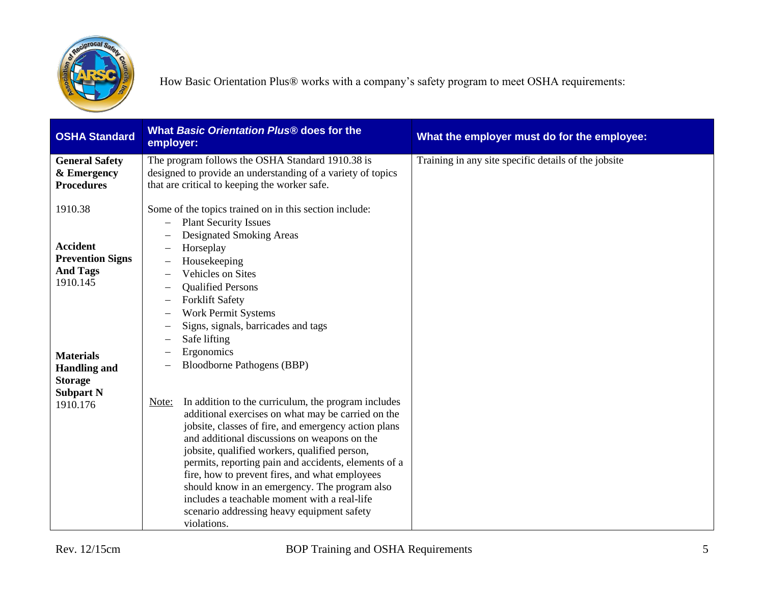

| <b>OSHA Standard</b>                                                                                                 | What Basic Orientation Plus® does for the<br>employer:                                                                                                                                                                                                                                                                                                                                                                                                                                                                                              | What the employer must do for the employee:          |
|----------------------------------------------------------------------------------------------------------------------|-----------------------------------------------------------------------------------------------------------------------------------------------------------------------------------------------------------------------------------------------------------------------------------------------------------------------------------------------------------------------------------------------------------------------------------------------------------------------------------------------------------------------------------------------------|------------------------------------------------------|
| <b>General Safety</b><br>& Emergency<br><b>Procedures</b>                                                            | The program follows the OSHA Standard 1910.38 is<br>designed to provide an understanding of a variety of topics<br>that are critical to keeping the worker safe.                                                                                                                                                                                                                                                                                                                                                                                    | Training in any site specific details of the jobsite |
| 1910.38                                                                                                              | Some of the topics trained on in this section include:<br><b>Plant Security Issues</b><br>Designated Smoking Areas                                                                                                                                                                                                                                                                                                                                                                                                                                  |                                                      |
| <b>Accident</b><br><b>Prevention Signs</b><br><b>And Tags</b><br>1910.145<br><b>Materials</b><br><b>Handling and</b> | Horseplay<br>Housekeeping<br>Vehicles on Sites<br><b>Qualified Persons</b><br><b>Forklift Safety</b><br><b>Work Permit Systems</b><br>Signs, signals, barricades and tags<br>Safe lifting<br>Ergonomics<br><b>Bloodborne Pathogens (BBP)</b>                                                                                                                                                                                                                                                                                                        |                                                      |
| <b>Storage</b><br><b>Subpart N</b><br>1910.176                                                                       | In addition to the curriculum, the program includes<br>Note:<br>additional exercises on what may be carried on the<br>jobsite, classes of fire, and emergency action plans<br>and additional discussions on weapons on the<br>jobsite, qualified workers, qualified person,<br>permits, reporting pain and accidents, elements of a<br>fire, how to prevent fires, and what employees<br>should know in an emergency. The program also<br>includes a teachable moment with a real-life<br>scenario addressing heavy equipment safety<br>violations. |                                                      |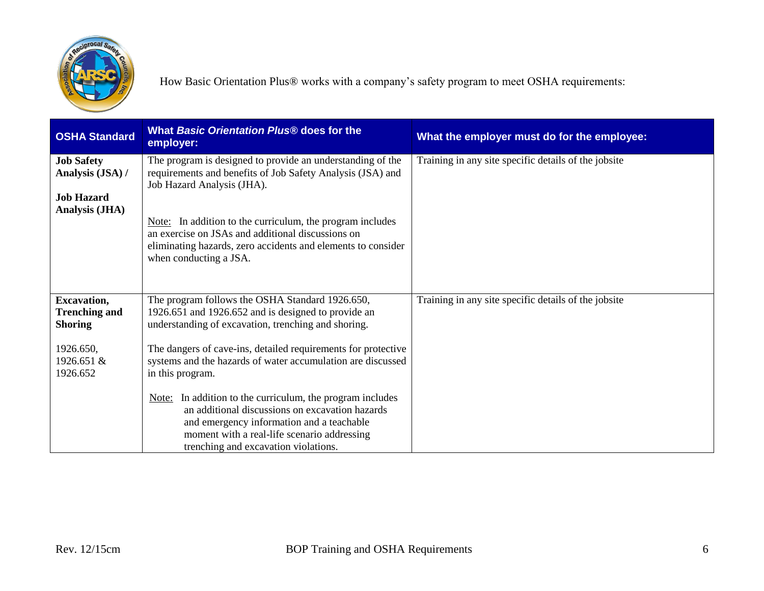

| <b>OSHA Standard</b>                                         | What Basic Orientation Plus® does for the<br>employer:                                                                                                                                                                                              | What the employer must do for the employee:          |
|--------------------------------------------------------------|-----------------------------------------------------------------------------------------------------------------------------------------------------------------------------------------------------------------------------------------------------|------------------------------------------------------|
| <b>Job Safety</b><br>Analysis (JSA) /                        | The program is designed to provide an understanding of the<br>requirements and benefits of Job Safety Analysis (JSA) and<br>Job Hazard Analysis (JHA).                                                                                              | Training in any site specific details of the jobsite |
| <b>Job Hazard</b><br><b>Analysis (JHA)</b>                   |                                                                                                                                                                                                                                                     |                                                      |
|                                                              | Note: In addition to the curriculum, the program includes<br>an exercise on JSAs and additional discussions on<br>eliminating hazards, zero accidents and elements to consider<br>when conducting a JSA.                                            |                                                      |
| <b>Excavation,</b><br><b>Trenching and</b><br><b>Shoring</b> | The program follows the OSHA Standard 1926.650,<br>1926.651 and 1926.652 and is designed to provide an<br>understanding of excavation, trenching and shoring.                                                                                       | Training in any site specific details of the jobsite |
| 1926.650,<br>1926.651 $\&$<br>1926.652                       | The dangers of cave-ins, detailed requirements for protective<br>systems and the hazards of water accumulation are discussed<br>in this program.                                                                                                    |                                                      |
|                                                              | In addition to the curriculum, the program includes<br>Note:<br>an additional discussions on excavation hazards<br>and emergency information and a teachable<br>moment with a real-life scenario addressing<br>trenching and excavation violations. |                                                      |